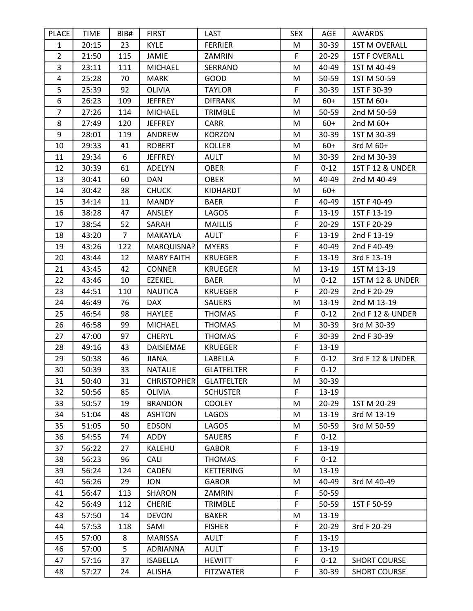| <b>PLACE</b>   | <b>TIME</b> | BIB#           | <b>FIRST</b>       | LAST              | <b>SEX</b> | AGE       | AWARDS                      |
|----------------|-------------|----------------|--------------------|-------------------|------------|-----------|-----------------------------|
| $\mathbf{1}$   | 20:15       | 23             | <b>KYLE</b>        | <b>FERRIER</b>    | M          | 30-39     | <b>1ST M OVERALL</b>        |
| $\overline{2}$ | 21:50       | 115            | <b>JAMIE</b>       | ZAMRIN            | F          | $20 - 29$ | <b>1ST F OVERALL</b>        |
| $\overline{3}$ | 23:11       | 111            | <b>MICHAEL</b>     | SERRANO           | M          | 40-49     | 1ST M 40-49                 |
| $\overline{4}$ | 25:28       | 70             | <b>MARK</b>        | GOOD              | M          | 50-59     | 1ST M 50-59                 |
| 5              | 25:39       | 92             | <b>OLIVIA</b>      | <b>TAYLOR</b>     | F          | $30 - 39$ | 1ST F 30-39                 |
| 6              | 26:23       | 109            | <b>JEFFREY</b>     | <b>DIFRANK</b>    | M          | $60+$     | 1ST M 60+                   |
| $\overline{7}$ | 27:26       | 114            | <b>MICHAEL</b>     | <b>TRIMBLE</b>    | М          | 50-59     | 2nd M 50-59                 |
| 8              | 27:49       | 120            | <b>JEFFREY</b>     | <b>CARR</b>       | M          | $60+$     | 2nd M 60+                   |
| 9              | 28:01       | 119            | ANDREW             | <b>KORZON</b>     | M          | 30-39     | 1ST M 30-39                 |
| 10             | 29:33       | 41             | <b>ROBERT</b>      | <b>KOLLER</b>     | M          | $60+$     | 3rd M 60+                   |
| 11             | 29:34       | 6              | <b>JEFFREY</b>     | <b>AULT</b>       | M          | 30-39     | 2nd M 30-39                 |
| 12             | 30:39       | 61             | ADELYN             | <b>OBER</b>       | F          | $0 - 12$  | <b>1ST F 12 &amp; UNDER</b> |
| 13             | 30:41       | 60             | <b>DAN</b>         | <b>OBER</b>       | M          | 40-49     | 2nd M 40-49                 |
| 14             | 30:42       | 38             | <b>CHUCK</b>       | KIDHARDT          | M          | $60+$     |                             |
| 15             | 34:14       | 11             | <b>MANDY</b>       | <b>BAER</b>       | F          | 40-49     | 1ST F 40-49                 |
| 16             | 38:28       | 47             | ANSLEY             | LAGOS             | F          | 13-19     | 1ST F 13-19                 |
| 17             | 38:54       | 52             | SARAH              | <b>MAILLIS</b>    | F          | $20 - 29$ | 1ST F 20-29                 |
| 18             | 43:20       | $\overline{7}$ | MAKAYLA            | <b>AULT</b>       | F          | 13-19     | 2nd F 13-19                 |
| 19             | 43:26       | 122            | MARQUISNA?         | <b>MYERS</b>      | F          | 40-49     | 2nd F 40-49                 |
| 20             | 43:44       | 12             | <b>MARY FAITH</b>  | <b>KRUEGER</b>    | F          | 13-19     | 3rd F 13-19                 |
| 21             | 43:45       | 42             | <b>CONNER</b>      | <b>KRUEGER</b>    | M          | 13-19     | 1ST M 13-19                 |
| 22             | 43:46       | 10             | <b>EZEKIEL</b>     | <b>BAER</b>       | M          | $0 - 12$  | 1ST M 12 & UNDER            |
| 23             | 44:51       | 110            | <b>NAUTICA</b>     | <b>KRUEGER</b>    | F          | $20 - 29$ | 2nd F 20-29                 |
| 24             | 46:49       | 76             | <b>DAX</b>         | <b>SAUERS</b>     | M          | 13-19     | 2nd M 13-19                 |
| 25             | 46:54       | 98             | <b>HAYLEE</b>      | <b>THOMAS</b>     | F          | $0 - 12$  | 2nd F 12 & UNDER            |
| 26             | 46:58       | 99             | <b>MICHAEL</b>     | <b>THOMAS</b>     | M          | 30-39     | 3rd M 30-39                 |
| 27             | 47:00       | 97             | <b>CHERYL</b>      | <b>THOMAS</b>     | F          | 30-39     | 2nd F 30-39                 |
| 28             | 49:16       | 43             | <b>DAISIEMAE</b>   | <b>KRUEGER</b>    | F          | 13-19     |                             |
| 29             | 50:38       | 46             | <b>JIANA</b>       | LABELLA           | F          | $0 - 12$  | 3rd F 12 & UNDER            |
| 30             | 50:39       | 33             | <b>NATALIE</b>     | <b>GLATFELTER</b> | F          | $0 - 12$  |                             |
| 31             | 50:40       | 31             | <b>CHRISTOPHER</b> | <b>GLATFELTER</b> | M          | 30-39     |                             |
| 32             | 50:56       | 85             | <b>OLIVIA</b>      | <b>SCHUSTER</b>   | F.         | 13-19     |                             |
| 33             | 50:57       | 19             | <b>BRANDON</b>     | <b>COOLEY</b>     | M          | $20 - 29$ | 1ST M 20-29                 |
| 34             | 51:04       | 48             | <b>ASHTON</b>      | LAGOS             | M          | 13-19     | 3rd M 13-19                 |
| 35             | 51:05       | 50             | <b>EDSON</b>       | LAGOS             | M          | 50-59     | 3rd M 50-59                 |
| 36             | 54:55       | 74             | ADDY               | <b>SAUERS</b>     | F          | $0 - 12$  |                             |
| 37             | 56:22       | 27             | KALEHU             | <b>GABOR</b>      | F          | 13-19     |                             |
| 38             | 56:23       | 96             | <b>CALI</b>        | <b>THOMAS</b>     | F          | $0 - 12$  |                             |
| 39             | 56:24       | 124            | <b>CADEN</b>       | <b>KETTERING</b>  | M          | 13-19     |                             |
| 40             | 56:26       | 29             | <b>JON</b>         | <b>GABOR</b>      | M          | 40-49     | 3rd M 40-49                 |
| 41             | 56:47       | 113            | SHARON             | ZAMRIN            | F          | 50-59     |                             |
| 42             | 56:49       | 112            | <b>CHERIE</b>      | <b>TRIMBLE</b>    | F          | 50-59     | 1ST F 50-59                 |
| 43             | 57:50       | 14             | <b>DEVON</b>       | <b>BAKER</b>      | M          | 13-19     |                             |
| 44             | 57:53       | 118            | SAMI               | <b>FISHER</b>     | F          | $20 - 29$ | 3rd F 20-29                 |
| 45             | 57:00       | 8              | <b>MARISSA</b>     | <b>AULT</b>       | F          | 13-19     |                             |
| 46             | 57:00       | 5              | <b>ADRIANNA</b>    | <b>AULT</b>       | F          | 13-19     |                             |
| 47             | 57:16       | 37             | <b>ISABELLA</b>    | <b>HEWITT</b>     | F          | $0 - 12$  | <b>SHORT COURSE</b>         |
| 48             | 57:27       | 24             | <b>ALISHA</b>      | <b>FITZWATER</b>  | F          | 30-39     | <b>SHORT COURSE</b>         |